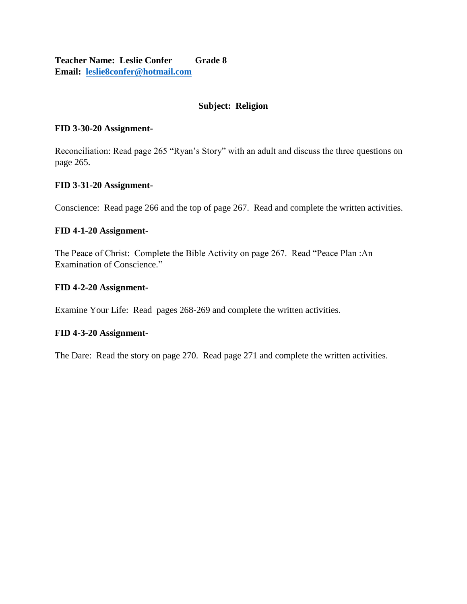**Teacher Name: Leslie Confer Grade 8 Email: [leslie8confer@hotmail.com](mailto:leslie8confer@hotmail.com)**

# **Subject: Religion**

## **FID 3-30-20 Assignment-**

Reconciliation: Read page 265 "Ryan's Story" with an adult and discuss the three questions on page 265.

## **FID 3-31-20 Assignment-**

Conscience: Read page 266 and the top of page 267. Read and complete the written activities.

## **FID 4-1-20 Assignment-**

The Peace of Christ: Complete the Bible Activity on page 267. Read "Peace Plan :An Examination of Conscience."

## **FID 4-2-20 Assignment-**

Examine Your Life: Read pages 268-269 and complete the written activities.

## **FID 4-3-20 Assignment-**

The Dare: Read the story on page 270. Read page 271 and complete the written activities.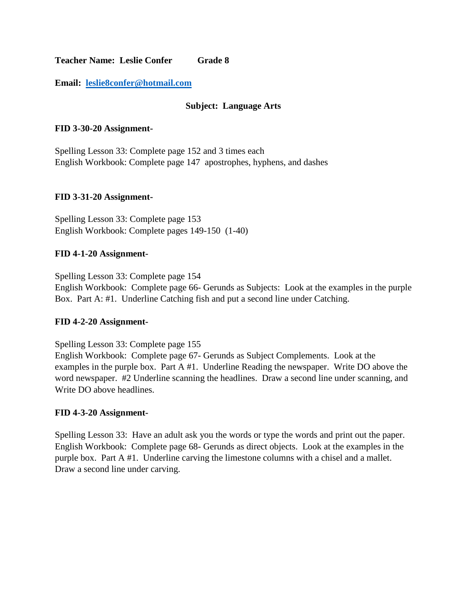**Teacher Name: Leslie Confer Grade 8**

**Email: [leslie8confer@hotmail.com](mailto:leslie8confer@hotmail.com)**

# **Subject: Language Arts**

## **FID 3-30-20 Assignment-**

Spelling Lesson 33: Complete page 152 and 3 times each English Workbook: Complete page 147 apostrophes, hyphens, and dashes

## **FID 3-31-20 Assignment-**

Spelling Lesson 33: Complete page 153 English Workbook: Complete pages 149-150 (1-40)

## **FID 4-1-20 Assignment-**

Spelling Lesson 33: Complete page 154 English Workbook: Complete page 66- Gerunds as Subjects: Look at the examples in the purple Box. Part A: #1. Underline Catching fish and put a second line under Catching.

## **FID 4-2-20 Assignment-**

Spelling Lesson 33: Complete page 155

English Workbook: Complete page 67- Gerunds as Subject Complements. Look at the examples in the purple box. Part A #1. Underline Reading the newspaper. Write DO above the word newspaper. #2 Underline scanning the headlines. Draw a second line under scanning, and Write DO above headlines.

#### **FID 4-3-20 Assignment-**

Spelling Lesson 33: Have an adult ask you the words or type the words and print out the paper. English Workbook: Complete page 68- Gerunds as direct objects. Look at the examples in the purple box. Part A #1. Underline carving the limestone columns with a chisel and a mallet. Draw a second line under carving.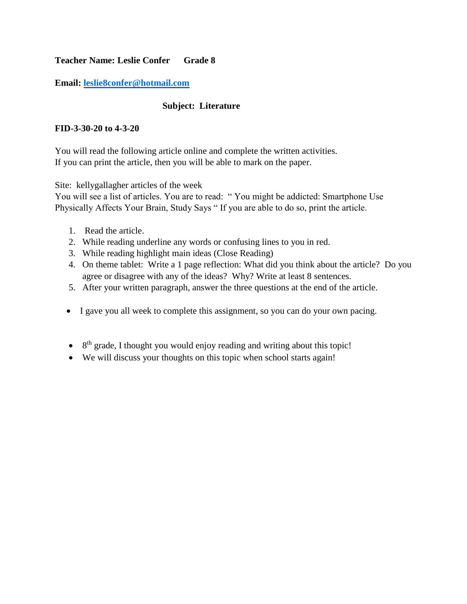# **Teacher Name: Leslie Confer Grade 8**

# **Email: [leslie8confer@hotmail.com](mailto:leslie8confer@hotmail.com)**

# **Subject: Literature**

## **FID-3-30-20 to 4-3-20**

You will read the following article online and complete the written activities. If you can print the article, then you will be able to mark on the paper.

Site: kellygallagher articles of the week

You will see a list of articles. You are to read: " You might be addicted: Smartphone Use Physically Affects Your Brain, Study Says " If you are able to do so, print the article.

- 1. Read the article.
- 2. While reading underline any words or confusing lines to you in red.
- 3. While reading highlight main ideas (Close Reading)
- 4. On theme tablet: Write a 1 page reflection: What did you think about the article? Do you agree or disagree with any of the ideas? Why? Write at least 8 sentences.
- 5. After your written paragraph, answer the three questions at the end of the article.
- I gave you all week to complete this assignment, so you can do your own pacing.
- $\bullet$  8<sup>th</sup> grade, I thought you would enjoy reading and writing about this topic!
- We will discuss your thoughts on this topic when school starts again!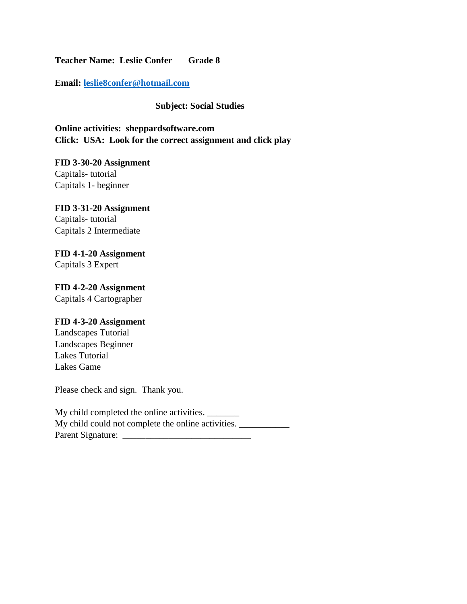**Teacher Name: Leslie Confer Grade 8**

**Email: [leslie8confer@hotmail.com](mailto:leslie8confer@hotmail.com)**

# **Subject: Social Studies**

**Online activities: sheppardsoftware.com Click: USA: Look for the correct assignment and click play**

**FID 3-30-20 Assignment** Capitals- tutorial Capitals 1- beginner

# **FID 3-31-20 Assignment** Capitals- tutorial Capitals 2 Intermediate

# **FID 4-1-20 Assignment**

Capitals 3 Expert

# **FID 4-2-20 Assignment** Capitals 4 Cartographer

# **FID 4-3-20 Assignment**

Landscapes Tutorial Landscapes Beginner Lakes Tutorial Lakes Game

Please check and sign. Thank you.

| My child completed the online activities.          |  |
|----------------------------------------------------|--|
| My child could not complete the online activities. |  |
| Parent Signature:                                  |  |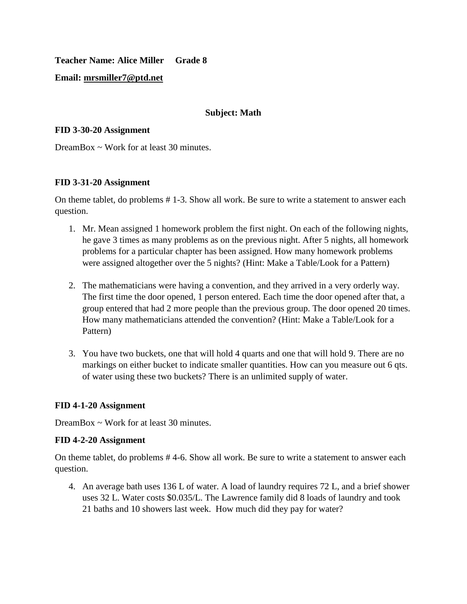**Teacher Name: Alice Miller Grade 8**

# **Email: [mrsmiller7@ptd.net](mailto:mrsmiller7@ptd.net)**

## **Subject: Math**

## **FID 3-30-20 Assignment**

DreamBox  $\sim$  Work for at least 30 minutes.

## **FID 3-31-20 Assignment**

On theme tablet, do problems # 1-3. Show all work. Be sure to write a statement to answer each question.

- 1. Mr. Mean assigned 1 homework problem the first night. On each of the following nights, he gave 3 times as many problems as on the previous night. After 5 nights, all homework problems for a particular chapter has been assigned. How many homework problems were assigned altogether over the 5 nights? (Hint: Make a Table/Look for a Pattern)
- 2. The mathematicians were having a convention, and they arrived in a very orderly way. The first time the door opened, 1 person entered. Each time the door opened after that, a group entered that had 2 more people than the previous group. The door opened 20 times. How many mathematicians attended the convention? (Hint: Make a Table/Look for a Pattern)
- 3. You have two buckets, one that will hold 4 quarts and one that will hold 9. There are no markings on either bucket to indicate smaller quantities. How can you measure out 6 qts. of water using these two buckets? There is an unlimited supply of water.

# **FID 4-1-20 Assignment**

DreamBox  $\sim$  Work for at least 30 minutes.

## **FID 4-2-20 Assignment**

On theme tablet, do problems # 4-6. Show all work. Be sure to write a statement to answer each question.

4. An average bath uses 136 L of water. A load of laundry requires 72 L, and a brief shower uses 32 L. Water costs \$0.035/L. The Lawrence family did 8 loads of laundry and took 21 baths and 10 showers last week. How much did they pay for water?